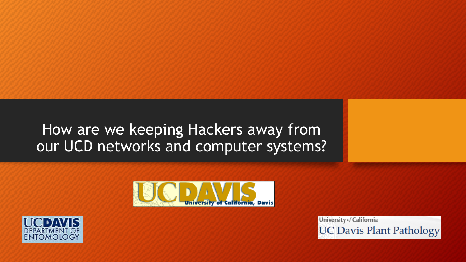#### How are we keeping Hackers away from our UCD networks and computer systems?





University of California **UC Davis Plant Pathology**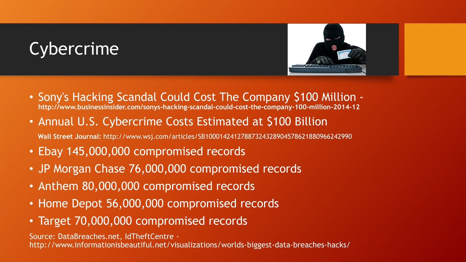# Cybercrime



- Sony's Hacking Scandal Could Cost The Company \$100 Million **http://www.businessinsider.com/sonys-hacking-scandal-could-cost-the-company-100-million-2014-12**
- Annual U.S. Cybercrime Costs Estimated at \$100 Billion **Wall Street Journal:** http://www.wsj.com/articles/SB10001424127887324328904578621880966242990
- Ebay 145,000,000 compromised records
- JP Morgan Chase 76,000,000 compromised records
- Anthem 80,000,000 compromised records
- Home Depot 56,000,000 compromised records
- Target 70,000,000 compromised records

Source: DataBreaches.net, IdTheftCentre -

http://www.informationisbeautiful.net/visualizations/worlds-biggest-data-breaches-hacks/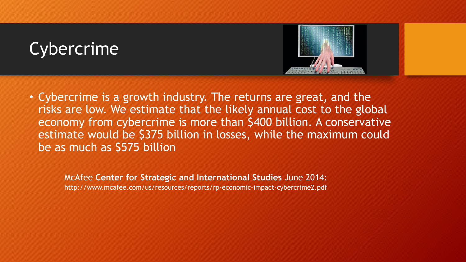# Cybercrime



• Cybercrime is a growth industry. The returns are great, and the risks are low. We estimate that the likely annual cost to the global economy from cybercrime is more than \$400 billion. A conservative estimate would be \$375 billion in losses, while the maximum could be as much as \$575 billion

McAfee **Center for Strategic and International Studies** June 2014: http://www.mcafee.com/us/resources/reports/rp-economic-impact-cybercrime2.pdf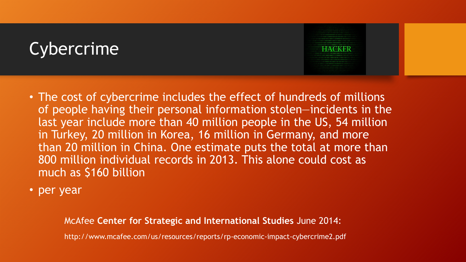# Cybercrime

- The cost of cybercrime includes the effect of hundreds of millions of people having their personal information stolen—incidents in the last year include more than 40 million people in the US, 54 million in Turkey, 20 million in Korea, 16 million in Germany, and more than 20 million in China. One estimate puts the total at more than 800 million individual records in 2013. This alone could cost as much as \$160 billion
- per year

McAfee **Center for Strategic and International Studies** June 2014:

http://www.mcafee.com/us/resources/reports/rp-economic-impact-cybercrime2.pdf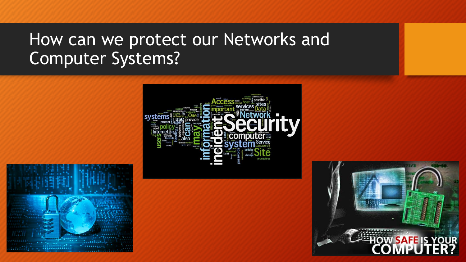# How can we protect our Networks and Computer Systems?



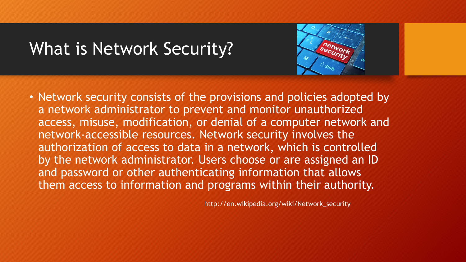#### What is Network Security?



• Network security consists of the provisions and policies adopted by a network administrator to prevent and monitor unauthorized access, misuse, modification, or denial of a computer network and network-accessible resources. Network security involves the authorization of access to data in a network, which is controlled by the network administrator. Users choose or are assigned an ID and password or other authenticating information that allows them access to information and programs within their authority.

http://en.wikipedia.org/wiki/Network\_security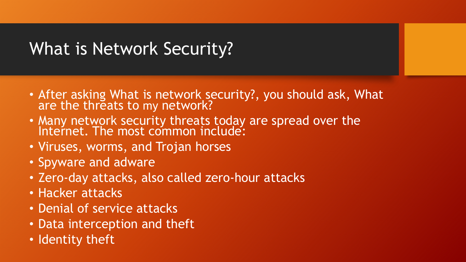# What is Network Security?

- After asking What is network security?, you should ask, What are the threats to my network?
- Many network security threats today are spread over the Internet. The most common include:
- Viruses, worms, and Trojan horses
- Spyware and adware
- Zero-day attacks, also called zero-hour attacks
- Hacker attacks
- Denial of service attacks
- Data interception and theft
- Identity theft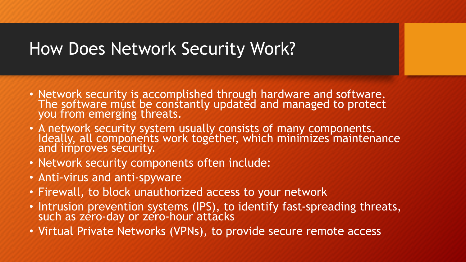#### How Does Network Security Work?

- Network security is accomplished through hardware and software. The software must be constantly updated and managed to protect you from emerging threats.
- A network security system usually consists of many components. Ideally, all components work together, which minimizes maintenance and improves security.
- Network security components often include:
- Anti-virus and anti-spyware
- Firewall, to block unauthorized access to your network
- Intrusion prevention systems (IPS), to identify fast-spreading threats, such as zero-day or zero-hour`attácks
- Virtual Private Networks (VPNs), to provide secure remote access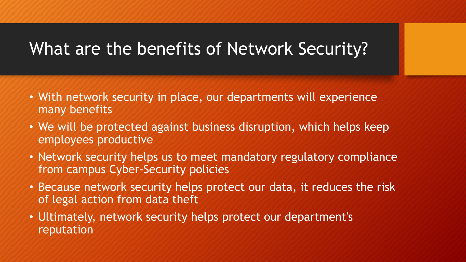#### What are the benefits of Network Security?

- With network security in place, our departments will experience many benefits
- We will be protected against business disruption, which helps keep employees productive
- Network security helps us to meet mandatory regulatory compliance from campus Cyber-Security policies
- Because network security helps protect our data, it reduces the risk of legal action from data theft
- Ultimately, network security helps protect our department's reputation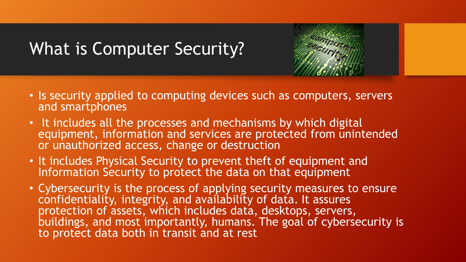# What is Computer Security?

- Is security applied to computing devices such as computers, servers and smartphones
- It includes all the processes and mechanisms by which digital equipment, information and services are protected from unintended or unauthorized access, change or destruction
- It includes Physical Security to prevent theft of equipment and Information Security to protect the data on that equipment
- Cybersecurity is the process of applying security measures to ensure confidentiality, integrity, and availability of data. It assures protection of assets, which includes data, desktops, servers, buildings, and most importantly, humans. The goal of cybersecurity is to protect data both in transit and at rest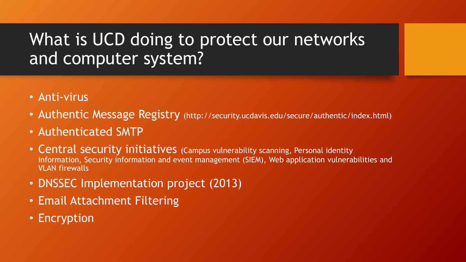# What is UCD doing to protect our networks and computer system?

- Anti-virus
- Authentic Message Registry (http://security.ucdavis.edu/secure/authentic/index.html)
- Authenticated SMTP
- Central security initiatives (Campus vulnerability scanning, Personal identity information, Security information and event management (SIEM), Web application vulnerabilities and VLAN firewalls
- DNSSEC Implementation project (2013)
- Email Attachment Filtering
- Encryption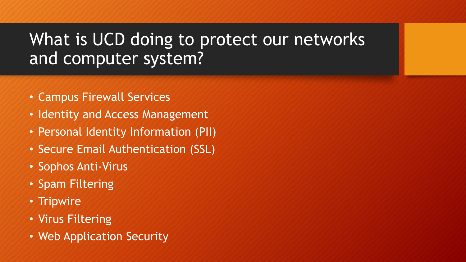# What is UCD doing to protect our networks and computer system?

- Campus Firewall Services
- Identity and Access Management
- Personal Identity Information (PII)
- Secure Email Authentication (SSL)
- Sophos Anti-Virus
- Spam Filtering
- Tripwire
- Virus Filtering
- Web Application Security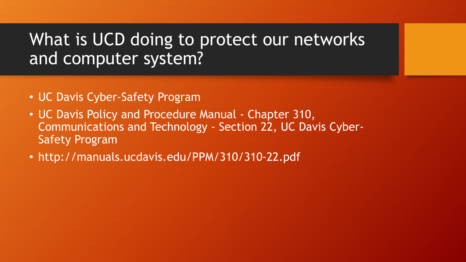#### What is UCD doing to protect our networks and computer system?

- UC Davis Cyber-Safety Program
- UC Davis Policy and Procedure Manual Chapter 310, Communications and Technology - Section 22, UC Davis Cyber-Safety Program
- http://manuals.ucdavis.edu/PPM/310/310-22.pdf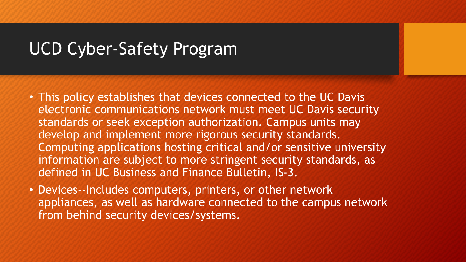#### UCD Cyber-Safety Program

- This policy establishes that devices connected to the UC Davis electronic communications network must meet UC Davis security standards or seek exception authorization. Campus units may develop and implement more rigorous security standards. Computing applications hosting critical and/or sensitive university information are subject to more stringent security standards, as defined in UC Business and Finance Bulletin, IS-3.
- Devices--Includes computers, printers, or other network appliances, as well as hardware connected to the campus network from behind security devices/systems.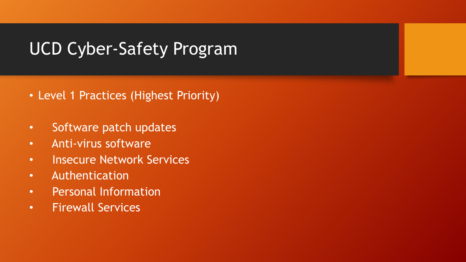# UCD Cyber-Safety Program

- Level 1 Practices (Highest Priority)
- Software patch updates
- Anti-virus software
- Insecure Network Services
- Authentication
- Personal Information
- Firewall Services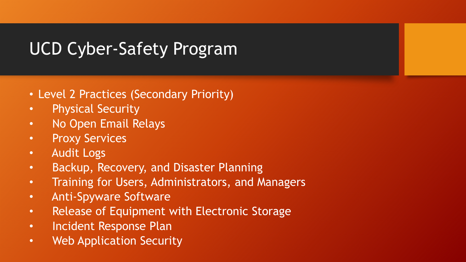# UCD Cyber-Safety Program

- Level 2 Practices (Secondary Priority)
- Physical Security
- No Open Email Relays
- Proxy Services
- Audit Logs
- Backup, Recovery, and Disaster Planning
- Training for Users, Administrators, and Managers
- Anti-Spyware Software
- Release of Equipment with Electronic Storage
- Incident Response Plan
- Web Application Security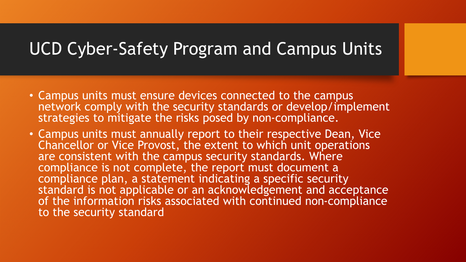#### UCD Cyber-Safety Program and Campus Units

- Campus units must ensure devices connected to the campus network comply with the security standards or develop/implement strategies to mitigate the risks posed by non-compliance.
- Campus units must annually report to their respective Dean, Vice Chancellor or Vice Provost, the extent to which unit operations are consistent with the campus security standards. Where compliance is not complete, the report must document a compliance plan, a statement indicating a specific security standard is not applicable or an acknowledgement and acceptance of the information risks associated with continued non-compliance to the security standard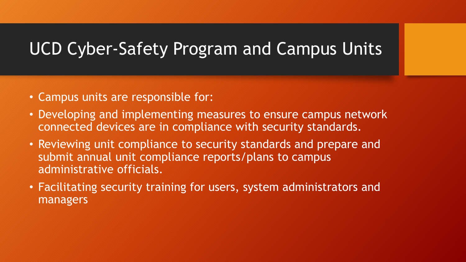# UCD Cyber-Safety Program and Campus Units

- Campus units are responsible for:
- Developing and implementing measures to ensure campus network connected devices are in compliance with security standards.
- Reviewing unit compliance to security standards and prepare and submit annual unit compliance reports/plans to campus administrative officials.
- Facilitating security training for users, system administrators and managers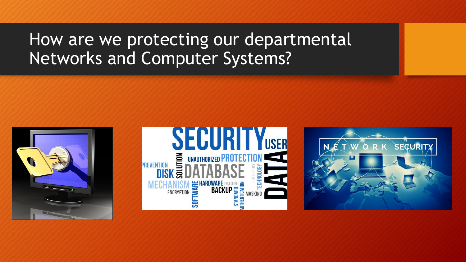### How are we protecting our departmental Networks and Computer Systems?





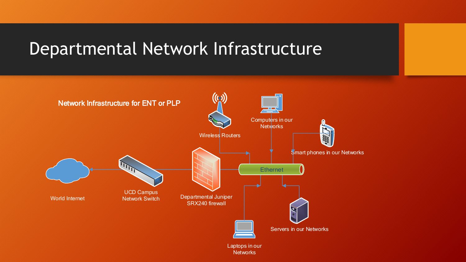#### Departmental Network Infrastructure

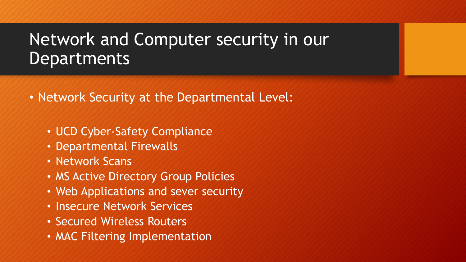- Network Security at the Departmental Level:
	- UCD Cyber-Safety Compliance
	- Departmental Firewalls
	- Network Scans
	- MS Active Directory Group Policies
	- Web Applications and sever security
	- Insecure Network Services
	- Secured Wireless Routers
	- MAC Filtering Implementation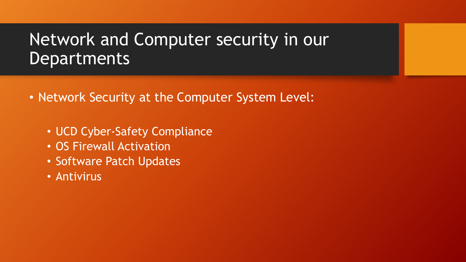- Network Security at the Computer System Level:
	- UCD Cyber-Safety Compliance
	- OS Firewall Activation
	- Software Patch Updates
	- Antivirus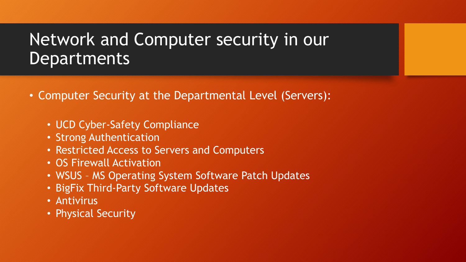- Computer Security at the Departmental Level (Servers):
	- UCD Cyber-Safety Compliance
	- Strong Authentication
	- Restricted Access to Servers and Computers
	- OS Firewall Activation
	- WSUS MS Operating System Software Patch Updates
	- BigFix Third-Party Software Updates
	- Antivirus
	- Physical Security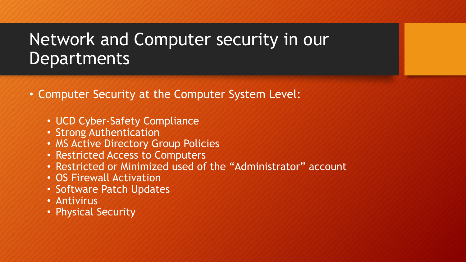- Computer Security at the Computer System Level:
	- UCD Cyber-Safety Compliance
	- Strong Authentication
	- MS Active Directory Group Policies
	- Restricted Access to Computers
	- Restricted or Minimized used of the "Administrator" account
	- OS Firewall Activation
	- Software Patch Updates
	- Antivirus
	- Physical Security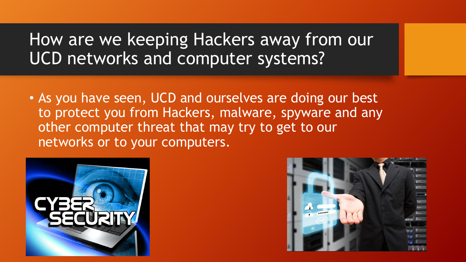# How are we keeping Hackers away from our UCD networks and computer systems?

• As you have seen, UCD and ourselves are doing our best to protect you from Hackers, malware, spyware and any other computer threat that may try to get to our networks or to your computers.